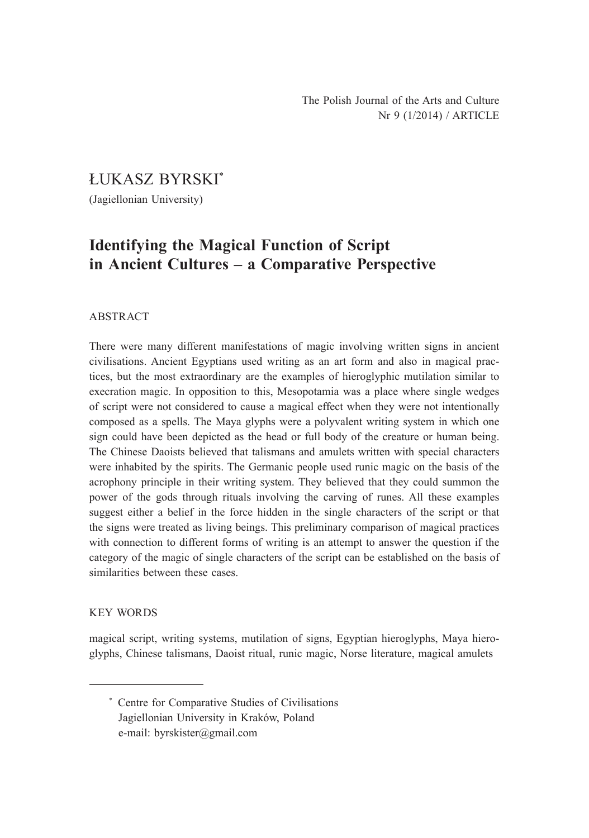ŁUKASZ BYRSKI\*

(Jagiellonian University)

# **Identifying the Magical Function of Script in Ancient Cultures ‒ a Comparative Perspective**

#### ABSTRACT

There were many different manifestations of magic involving written signs in ancient civilisations. Ancient Egyptians used writing as an art form and also in magical practices, but the most extraordinary are the examples of hieroglyphic mutilation similar to execration magic. In opposition to this, Mesopotamia was a place where single wedges of script were not considered to cause a magical effect when they were not intentionally composed as a spells. The Maya glyphs were a polyvalent writing system in which one sign could have been depicted as the head or full body of the creature or human being. The Chinese Daoists believed that talismans and amulets written with special characters were inhabited by the spirits. The Germanic people used runic magic on the basis of the acrophony principle in their writing system. They believed that they could summon the power of the gods through rituals involving the carving of runes. All these examples suggest either a belief in the force hidden in the single characters of the script or that the signs were treated as living beings. This preliminary comparison of magical practices with connection to different forms of writing is an attempt to answer the question if the category of the magic of single characters of the script can be established on the basis of similarities between these cases.

#### KEY WORDS

magical script, writing systems, mutilation of signs, Egyptian hieroglyphs, Maya hieroglyphs, Chinese talismans, Daoist ritual, runic magic, Norse literature, magical amulets

<sup>\*</sup> Centre for Comparative Studies of Civilisations Jagiellonian University in Kraków, Poland e-mail: byrskister@gmail.com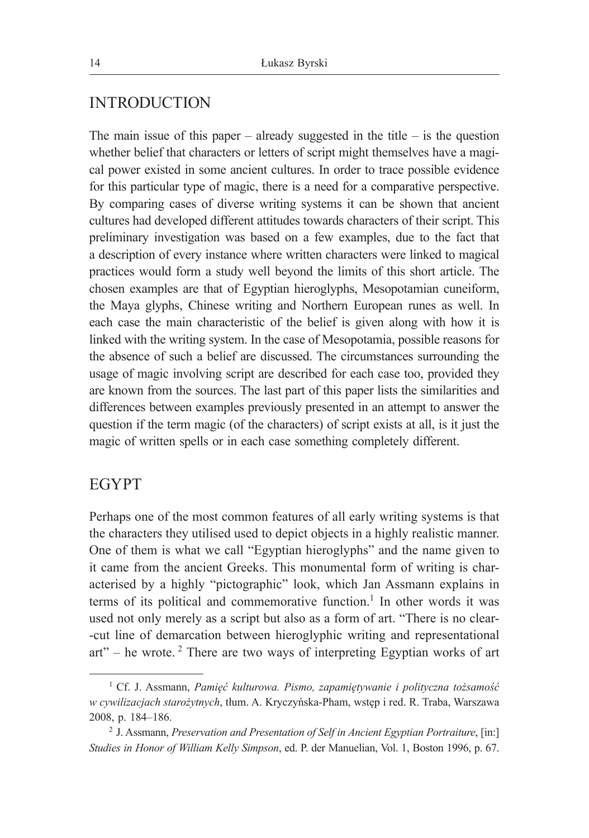### INTRODUCTION

The main issue of this paper – already suggested in the title – is the question whether belief that characters or letters of script might themselves have a magical power existed in some ancient cultures. In order to trace possible evidence for this particular type of magic, there is a need for a comparative perspective. By comparing cases of diverse writing systems it can be shown that ancient cultures had developed different attitudes towards characters of their script. This preliminary investigation was based on a few examples, due to the fact that a description of every instance where written characters were linked to magical practices would form a study well beyond the limits of this short article. The chosen examples are that of Egyptian hieroglyphs, Mesopotamian cuneiform, the Maya glyphs, Chinese writing and Northern European runes as well. In each case the main characteristic of the belief is given along with how it is linked with the writing system. In the case of Mesopotamia, possible reasons for the absence of such a belief are discussed. The circumstances surrounding the usage of magic involving script are described for each case too, provided they are known from the sources. The last part of this paper lists the similarities and differences between examples previously presented in an attempt to answer the question if the term magic (of the characters) of script exists at all, is it just the magic of written spells or in each case something completely different.

# EGYPT

Perhaps one of the most common features of all early writing systems is that the characters they utilised used to depict objects in a highly realistic manner. One of them is what we call "Egyptian hieroglyphs" and the name given to it came from the ancient Greeks. This monumental form of writing is characterised by a highly "pictographic" look, which Jan Assmann explains in terms of its political and commemorative function.<sup>1</sup> In other words it was used not only merely as a script but also as a form of art. "There is no clear- -cut line of demarcation between hieroglyphic writing and representational  $art"$  – he wrote.<sup>2</sup> There are two ways of interpreting Egyptian works of art

<sup>1</sup> Cf. J. Assmann, *Pamięć kulturowa. Pismo, zapamiętywanie i polityczna tożsamość w cywilizacjach starożytnych*, tłum. A. Kryczyńska-Pham, wstęp i red. R. Traba, Warszawa 2008, p. 184‒186.

<sup>2</sup> J. Assmann, *Preservation and Presentation of Self in Ancient Egyptian Portraiture*, [in:] *Studies in Honor of William Kelly Simpson*, ed. P. der Manuelian, Vol. 1, Boston 1996, p. 67.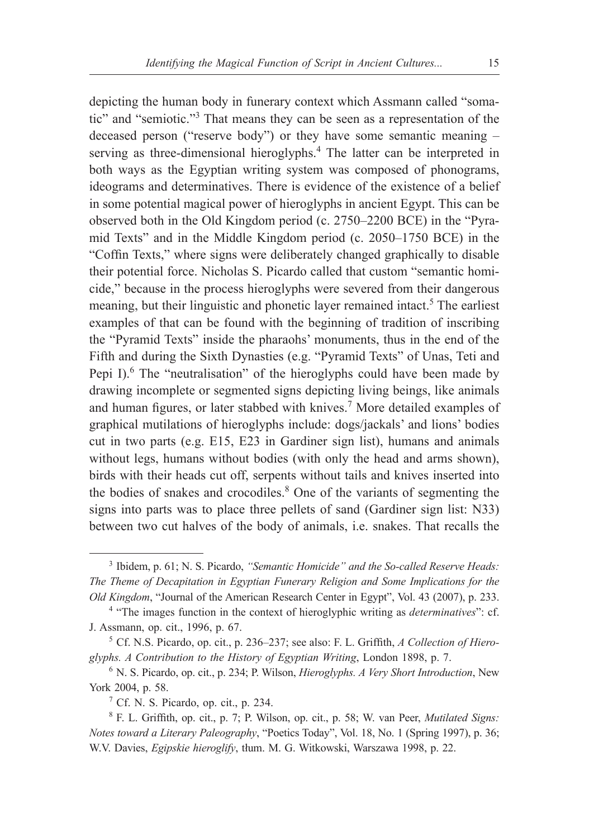depicting the human body in funerary context which Assmann called "somatic" and "semiotic."<sup>3</sup> That means they can be seen as a representation of the deceased person ("reserve body") or they have some semantic meaning – serving as three-dimensional hieroglyphs.<sup>4</sup> The latter can be interpreted in both ways as the Egyptian writing system was composed of phonograms, ideograms and determinatives. There is evidence of the existence of a belief in some potential magical power of hieroglyphs in ancient Egypt. This can be observed both in the Old Kingdom period (c. 2750–2200 BCE) in the "Pyramid Texts" and in the Middle Kingdom period (c. 2050–1750 BCE) in the "Coffin Texts," where signs were deliberately changed graphically to disable their potential force. Nicholas S. Picardo called that custom "semantic homicide," because in the process hieroglyphs were severed from their dangerous meaning, but their linguistic and phonetic layer remained intact.<sup>5</sup> The earliest examples of that can be found with the beginning of tradition of inscribing the "Pyramid Texts" inside the pharaohs' monuments, thus in the end of the Fifth and during the Sixth Dynasties (e.g. "Pyramid Texts" of Unas, Teti and Pepi I).<sup>6</sup> The "neutralisation" of the hieroglyphs could have been made by drawing incomplete or segmented signs depicting living beings, like animals and human figures, or later stabbed with knives.<sup>7</sup> More detailed examples of graphical mutilations of hieroglyphs include: dogs/jackals' and lions' bodies cut in two parts (e.g. E15, E23 in Gardiner sign list), humans and animals without legs, humans without bodies (with only the head and arms shown), birds with their heads cut off, serpents without tails and knives inserted into the bodies of snakes and crocodiles.<sup>8</sup> One of the variants of segmenting the signs into parts was to place three pellets of sand (Gardiner sign list: N33) between two cut halves of the body of animals, i.e. snakes. That recalls the

<sup>3</sup> Ibidem, p. 61; N. S. Picardo, *"Semantic Homicide" and the So-called Reserve Heads: The Theme of Decapitation in Egyptian Funerary Religion and Some Implications for the Old Kingdom*, "Journal of the American Research Center in Egypt", Vol. 43 (2007), p. 233.

<sup>4</sup> "The images function in the context of hieroglyphic writing as *determinatives*": cf. J. Assmann, op. cit., 1996, p. 67.

<sup>&</sup>lt;sup>5</sup> Cf. N.S. Picardo, op. cit., p. 236–237; see also: F. L. Griffith, *A Collection of Hieroglyphs. A Contribution to the History of Egyptian Writing*, London 1898, p. 7.

<sup>6</sup> N. S. Picardo, op. cit., p. 234; P. Wilson, *Hieroglyphs. A Very Short Introduction*, New York 2004, p. 58.

<sup>7</sup> Cf. N. S. Picardo, op. cit., p. 234.

<sup>8</sup> F. L. Griffith, op. cit., p. 7; P. Wilson, op. cit., p. 58; W. van Peer, *Mutilated Signs: Notes toward a Literary Paleography*, "Poetics Today", Vol. 18, No. 1 (Spring 1997), p. 36; W.V. Davies, *Egipskie hieroglify*, tłum. M. G. Witkowski, Warszawa 1998, p. 22.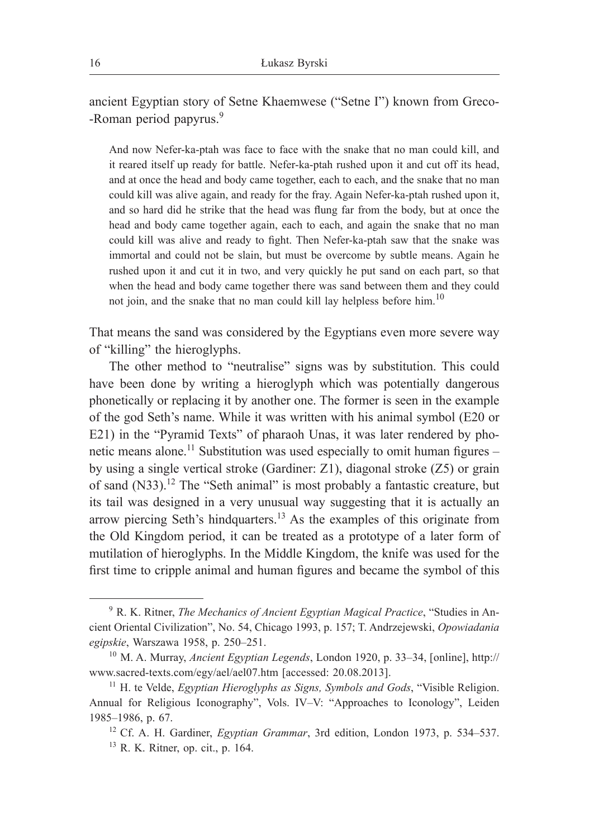ancient Egyptian story of Setne Khaemwese ("Setne I") known from Greco- -Roman period papyrus.<sup>9</sup>

And now Nefer-ka-ptah was face to face with the snake that no man could kill, and it reared itself up ready for battle. Nefer-ka-ptah rushed upon it and cut off its head, and at once the head and body came together, each to each, and the snake that no man could kill was alive again, and ready for the fray. Again Nefer-ka-ptah rushed upon it, and so hard did he strike that the head was flung far from the body, but at once the head and body came together again, each to each, and again the snake that no man could kill was alive and ready to fight. Then Nefer-ka-ptah saw that the snake was immortal and could not be slain, but must be overcome by subtle means. Again he rushed upon it and cut it in two, and very quickly he put sand on each part, so that when the head and body came together there was sand between them and they could not join, and the snake that no man could kill lay helpless before him.<sup>10</sup>

That means the sand was considered by the Egyptians even more severe way of "killing" the hieroglyphs.

The other method to "neutralise" signs was by substitution. This could have been done by writing a hieroglyph which was potentially dangerous phonetically or replacing it by another one. The former is seen in the example of the god Seth's name. While it was written with his animal symbol (E20 or E21) in the "Pyramid Texts" of pharaoh Unas, it was later rendered by phonetic means alone.<sup>11</sup> Substitution was used especially to omit human figures – by using a single vertical stroke (Gardiner: Z1), diagonal stroke (Z5) or grain of sand (N33).<sup>12</sup> The "Seth animal" is most probably a fantastic creature, but its tail was designed in a very unusual way suggesting that it is actually an arrow piercing Seth's hindquarters.<sup>13</sup> As the examples of this originate from the Old Kingdom period, it can be treated as a prototype of a later form of mutilation of hieroglyphs. In the Middle Kingdom, the knife was used for the first time to cripple animal and human figures and became the symbol of this

<sup>9</sup> R. K. Ritner, *The Mechanics of Ancient Egyptian Magical Practice*, "Studies in Ancient Oriental Civilization", No. 54, Chicago 1993, p. 157; T. Andrzejewski, *Opowiadania egipskie*, Warszawa 1958, p. 250‒251.

<sup>&</sup>lt;sup>10</sup> M. A. Murray, *Ancient Egyptian Legends*, London 1920, p. 33–34, [online], http:// www.sacred-texts.com/egy/ael/ael07.htm [accessed: 20.08.2013].

<sup>11</sup> H. te Velde, *Egyptian Hieroglyphs as Signs, Symbols and Gods*, "Visible Religion. Annual for Religious Iconography", Vols. IV-V: "Approaches to Iconology", Leiden 1985‒1986, p. 67.

<sup>&</sup>lt;sup>12</sup> Cf. A. H. Gardiner, *Egyptian Grammar*, 3rd edition, London 1973, p. 534–537. <sup>13</sup> R. K. Ritner, op. cit., p. 164.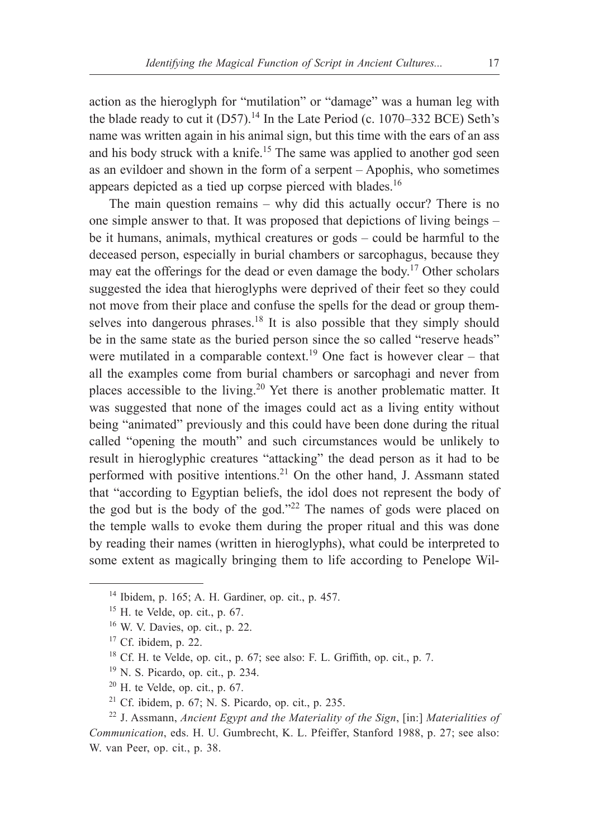action as the hieroglyph for "mutilation" or "damage" was a human leg with the blade ready to cut it  $(D57)$ .<sup>14</sup> In the Late Period (c. 1070–332 BCE) Seth's name was written again in his animal sign, but this time with the ears of an ass and his body struck with a knife.<sup>15</sup> The same was applied to another god seen as an evildoer and shown in the form of a serpent – Apophis, who sometimes appears depicted as a tied up corpse pierced with blades.16

The main question remains – why did this actually occur? There is no one simple answer to that. It was proposed that depictions of living beings – be it humans, animals, mythical creatures or gods – could be harmful to the deceased person, especially in burial chambers or sarcophagus, because they may eat the offerings for the dead or even damage the body.17 Other scholars suggested the idea that hieroglyphs were deprived of their feet so they could not move from their place and confuse the spells for the dead or group themselves into dangerous phrases.<sup>18</sup> It is also possible that they simply should be in the same state as the buried person since the so called "reserve heads" were mutilated in a comparable context.<sup>19</sup> One fact is however clear – that all the examples come from burial chambers or sarcophagi and never from places accessible to the living.<sup>20</sup> Yet there is another problematic matter. It was suggested that none of the images could act as a living entity without being "animated" previously and this could have been done during the ritual called "opening the mouth" and such circumstances would be unlikely to result in hieroglyphic creatures "attacking" the dead person as it had to be performed with positive intentions.<sup>21</sup> On the other hand, J. Assmann stated that "according to Egyptian beliefs, the idol does not represent the body of the god but is the body of the god."<sup>22</sup> The names of gods were placed on the temple walls to evoke them during the proper ritual and this was done by reading their names (written in hieroglyphs), what could be interpreted to some extent as magically bringing them to life according to Penelope Wil-

- $20$  H. te Velde, op. cit., p. 67.
- $21$  Cf. ibidem, p. 67; N. S. Picardo, op. cit., p. 235.

 $14$  Ibidem, p. 165; A. H. Gardiner, op. cit., p. 457.

 $15$  H. te Velde, op. cit., p. 67.

 $16$  W. V. Davies, op. cit., p. 22.

 $17$  Cf. ibidem, p. 22.

<sup>18</sup> Cf. H. te Velde, op. cit., p. 67; see also: F. L. Griffith, op. cit., p. 7.

<sup>19</sup> N. S. Picardo, op. cit., p. 234.

<sup>22</sup> J. Assmann, *Ancient Egypt and the Materiality of the Sign*, [in:] *Materialities of Communication*, eds. H. U. Gumbrecht, K. L. Pfeiffer, Stanford 1988, p. 27; see also: W. van Peer, op. cit., p. 38.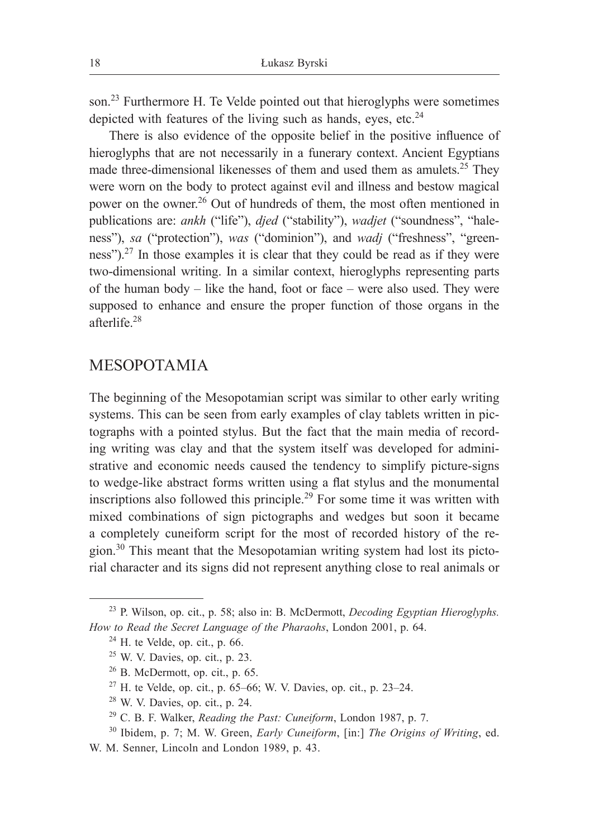son.<sup>23</sup> Furthermore H. Te Velde pointed out that hieroglyphs were sometimes depicted with features of the living such as hands, eyes, etc. $24$ 

There is also evidence of the opposite belief in the positive influence of hieroglyphs that are not necessarily in a funerary context. Ancient Egyptians made three-dimensional likenesses of them and used them as amulets.<sup>25</sup> They were worn on the body to protect against evil and illness and bestow magical power on the owner.26 Out of hundreds of them, the most often mentioned in publications are: *ankh* ("life"), *djed* ("stability"), *wadjet* ("soundness", "haleness"), *sa* ("protection"), *was* ("dominion"), and *wadj* ("freshness", "greenness").27 In those examples it is clear that they could be read as if they were two-dimensional writing. In a similar context, hieroglyphs representing parts of the human body  $-$  like the hand, foot or face  $-$  were also used. They were supposed to enhance and ensure the proper function of those organs in the afterlife.<sup>28</sup>

# MESOPOTAMIA

The beginning of the Mesopotamian script was similar to other early writing systems. This can be seen from early examples of clay tablets written in pictographs with a pointed stylus. But the fact that the main media of recording writing was clay and that the system itself was developed for administrative and economic needs caused the tendency to simplify picture-signs to wedge-like abstract forms written using a flat stylus and the monumental inscriptions also followed this principle.29 For some time it was written with mixed combinations of sign pictographs and wedges but soon it became a completely cuneiform script for the most of recorded history of the region.<sup>30</sup> This meant that the Mesopotamian writing system had lost its pictorial character and its signs did not represent anything close to real animals or

<sup>23</sup> P. Wilson, op. cit., p. 58; also in: B. McDermott, *Decoding Egyptian Hieroglyphs. How to Read the Secret Language of the Pharaohs*, London 2001, p. 64.

 $24$  H. te Velde, op. cit., p. 66.

<sup>25</sup> W. V. Davies, op. cit., p. 23.

 $26$  B. McDermott, op. cit., p. 65.

 $27$  H. te Velde, op. cit., p. 65–66; W. V. Davies, op. cit., p. 23–24.

<sup>28</sup> W. V. Davies, op. cit., p. 24.

<sup>29</sup> C. B. F. Walker, *Reading the Past: Cuneiform*, London 1987, p. 7.

<sup>30</sup> Ibidem, p. 7; M. W. Green, *Early Cuneiform*, [in:] *The Origins of Writing*, ed.

W. M. Senner, Lincoln and London 1989, p. 43.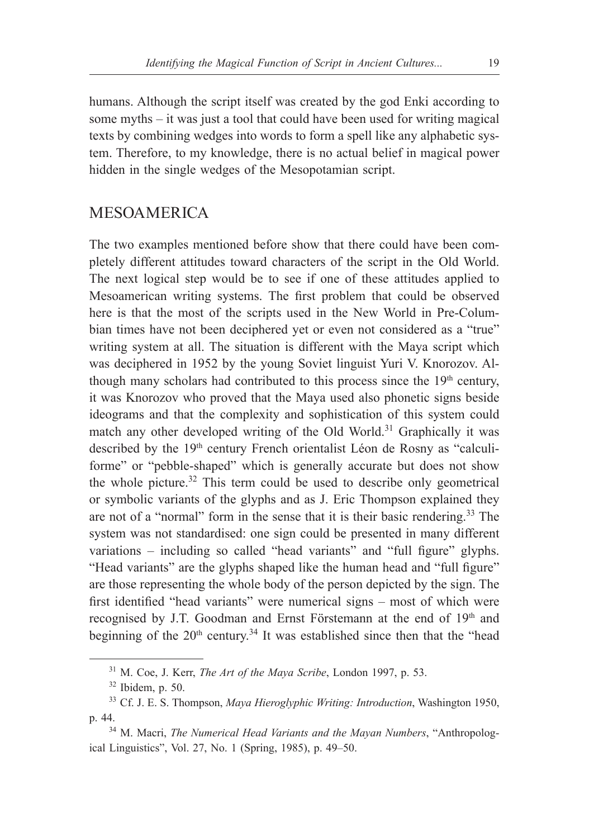humans. Although the script itself was created by the god Enki according to some myths – it was just a tool that could have been used for writing magical texts by combining wedges into words to form a spell like any alphabetic system. Therefore, to my knowledge, there is no actual belief in magical power hidden in the single wedges of the Mesopotamian script.

### MESOAMERICA

The two examples mentioned before show that there could have been completely different attitudes toward characters of the script in the Old World. The next logical step would be to see if one of these attitudes applied to Mesoamerican writing systems. The first problem that could be observed here is that the most of the scripts used in the New World in Pre-Columbian times have not been deciphered yet or even not considered as a "true" writing system at all. The situation is different with the Maya script which was deciphered in 1952 by the young Soviet linguist Yuri V. Knorozov. Although many scholars had contributed to this process since the  $19<sup>th</sup>$  century, it was Knorozov who proved that the Maya used also phonetic signs beside ideograms and that the complexity and sophistication of this system could match any other developed writing of the Old World.<sup>31</sup> Graphically it was described by the 19<sup>th</sup> century French orientalist Léon de Rosny as "calculiforme" or "pebble-shaped" which is generally accurate but does not show the whole picture. $32$  This term could be used to describe only geometrical or symbolic variants of the glyphs and as J. Eric Thompson explained they are not of a "normal" form in the sense that it is their basic rendering.<sup>33</sup> The system was not standardised: one sign could be presented in many different variations – including so called "head variants" and "full figure" glyphs. "Head variants" are the glyphs shaped like the human head and "full figure" are those representing the whole body of the person depicted by the sign. The first identified "head variants" were numerical signs – most of which were recognised by J.T. Goodman and Ernst Förstemann at the end of 19<sup>th</sup> and beginning of the  $20<sup>th</sup>$  century.<sup>34</sup> It was established since then that the "head

<sup>31</sup> M. Coe, J. Kerr, *The Art of the Maya Scribe*, London 1997, p. 53.

 $32$  Ibidem, p. 50.

<sup>33</sup> Cf. J. E. S. Thompson, *Maya Hieroglyphic Writing: Introduction*, Washington 1950, p. 44.

<sup>34</sup> M. Macri, *The Numerical Head Variants and the Mayan Numbers*, "Anthropological Linguistics", Vol. 27, No. 1 (Spring, 1985), p. 49–50.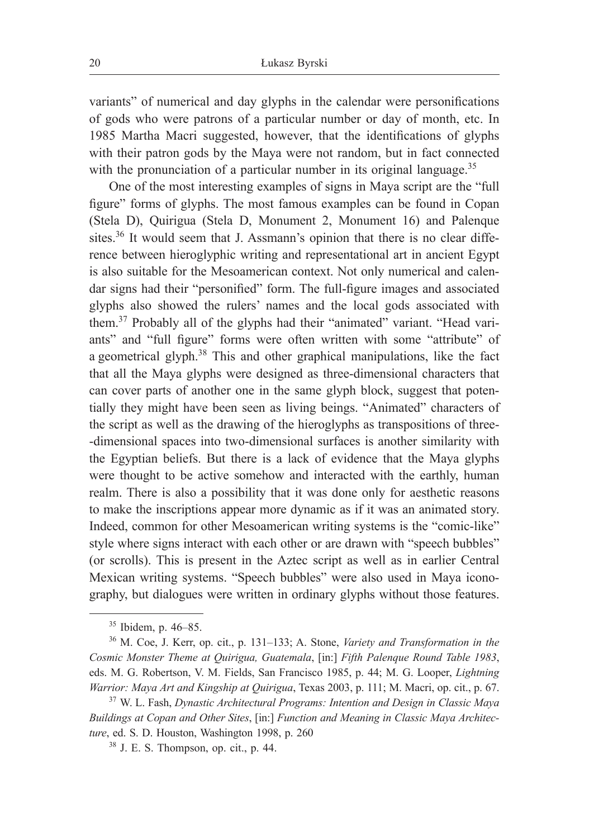variants" of numerical and day glyphs in the calendar were personifications of gods who were patrons of a particular number or day of month, etc. In 1985 Martha Macri suggested, however, that the identifications of glyphs with their patron gods by the Maya were not random, but in fact connected with the pronunciation of a particular number in its original language.<sup>35</sup>

One of the most interesting examples of signs in Maya script are the "full figure" forms of glyphs. The most famous examples can be found in Copan (Stela D), Quirigua (Stela D, Monument 2, Monument 16) and Palenque sites.<sup>36</sup> It would seem that J. Assmann's opinion that there is no clear difference between hieroglyphic writing and representational art in ancient Egypt is also suitable for the Mesoamerican context. Not only numerical and calendar signs had their "personified" form. The full-figure images and associated glyphs also showed the rulers' names and the local gods associated with them.<sup>37</sup> Probably all of the glyphs had their "animated" variant. "Head variants" and "full figure" forms were often written with some "attribute" of a geometrical glyph.<sup>38</sup> This and other graphical manipulations, like the fact that all the Maya glyphs were designed as three-dimensional characters that can cover parts of another one in the same glyph block, suggest that potentially they might have been seen as living beings. "Animated" characters of the script as well as the drawing of the hieroglyphs as transpositions of three- -dimensional spaces into two-dimensional surfaces is another similarity with the Egyptian beliefs. But there is a lack of evidence that the Maya glyphs were thought to be active somehow and interacted with the earthly, human realm. There is also a possibility that it was done only for aesthetic reasons to make the inscriptions appear more dynamic as if it was an animated story. Indeed, common for other Mesoamerican writing systems is the "comic-like" style where signs interact with each other or are drawn with "speech bubbles" (or scrolls). This is present in the Aztec script as well as in earlier Central Mexican writing systems. "Speech bubbles" were also used in Maya iconography, but dialogues were written in ordinary glyphs without those features.

<sup>35</sup> Ibidem, p. 46‒85.

<sup>&</sup>lt;sup>36</sup> M. Coe, J. Kerr, op. cit., p. 131–133; A. Stone, *Variety and Transformation in the Cosmic Monster Theme at Quirigua, Guatemala*, [in:] *Fifth Palenque Round Table 1983*, eds. M. G. Robertson, V. M. Fields, San Francisco 1985, p. 44; M. G. Looper, *Lightning Warrior: Maya Art and Kingship at Quirigua*, Texas 2003, p. 111; M. Macri, op. cit., p. 67.

<sup>37</sup> W. L. Fash, *Dynastic Architectural Programs: Intention and Design in Classic Maya Buildings at Copan and Other Sites*, [in:] *Function and Meaning in Classic Maya Architecture*, ed. S. D. Houston, Washington 1998, p. 260

 $38$  J. E. S. Thompson, op. cit., p. 44.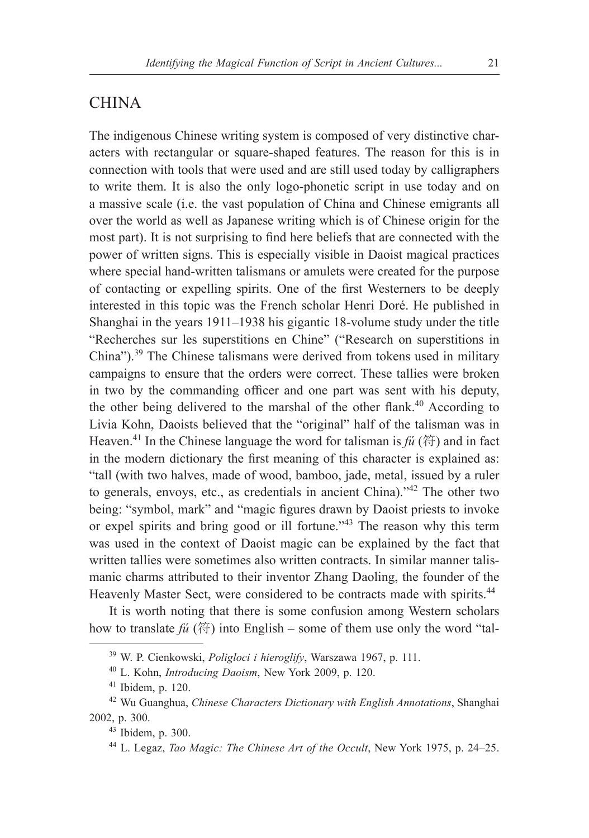## **CHINA**

The indigenous Chinese writing system is composed of very distinctive characters with rectangular or square-shaped features. The reason for this is in connection with tools that were used and are still used today by calligraphers to write them. It is also the only logo-phonetic script in use today and on a massive scale (i.e. the vast population of China and Chinese emigrants all over the world as well as Japanese writing which is of Chinese origin for the most part). It is not surprising to find here beliefs that are connected with the power of written signs. This is especially visible in Daoist magical practices where special hand-written talismans or amulets were created for the purpose of contacting or expelling spirits. One of the first Westerners to be deeply interested in this topic was the French scholar Henri Doré. He published in Shanghai in the years 1911–1938 his gigantic 18-volume study under the title "Recherches sur les superstitions en Chine" ("Research on superstitions in China").<sup>39</sup> The Chinese talismans were derived from tokens used in military campaigns to ensure that the orders were correct. These tallies were broken in two by the commanding officer and one part was sent with his deputy, the other being delivered to the marshal of the other flank.<sup>40</sup> According to Livia Kohn, Daoists believed that the "original" half of the talisman was in Heaven.<sup>41</sup> In the Chinese language the word for talisman is  $f\acute{u}$  (符) and in fact in the modern dictionary the first meaning of this character is explained as: "tall (with two halves, made of wood, bamboo, jade, metal, issued by a ruler to generals, envoys, etc., as credentials in ancient China)."42 The other two being: "symbol, mark" and "magic figures drawn by Daoist priests to invoke or expel spirits and bring good or ill fortune."<sup>43</sup> The reason why this term was used in the context of Daoist magic can be explained by the fact that written tallies were sometimes also written contracts. In similar manner talismanic charms attributed to their inventor Zhang Daoling, the founder of the Heavenly Master Sect, were considered to be contracts made with spirits.<sup>44</sup>

It is worth noting that there is some confusion among Western scholars how to translate  $f\mathcal{U}(\text{m})$  into English – some of them use only the word "tal-

<sup>39</sup> W. P. Cienkowski, *Poligloci i hieroglify*, Warszawa 1967, p. 111.

<sup>40</sup> L. Kohn, *Introducing Daoism*, New York 2009, p. 120.

 $41$  Ibidem, p. 120.

<sup>42</sup> Wu Guanghua, *Chinese Characters Dictionary with English Annotations*, Shanghai 2002, p. 300.

<sup>43</sup> Ibidem, p. 300.

<sup>&</sup>lt;sup>44</sup> L. Legaz, *Tao Magic: The Chinese Art of the Occult*, New York 1975, p. 24–25.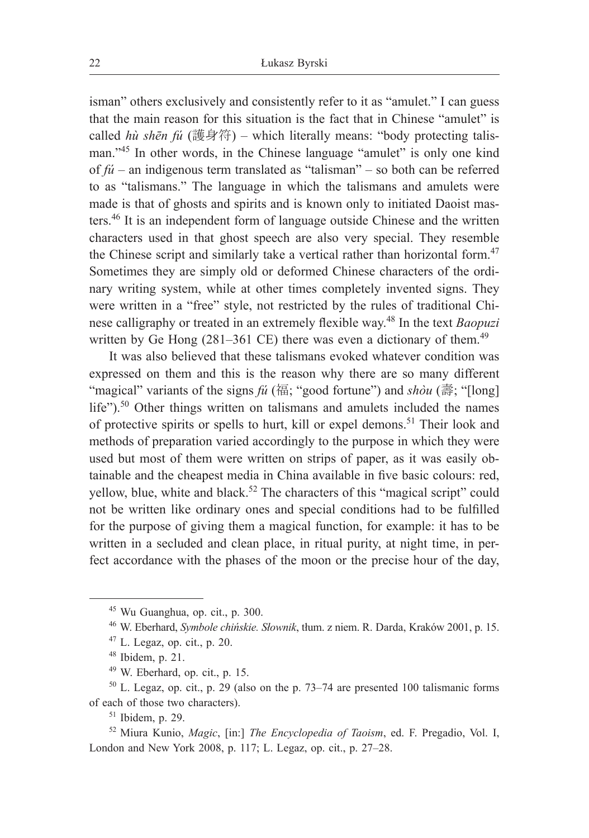isman" others exclusively and consistently refer to it as "amulet." I can guess that the main reason for this situation is the fact that in Chinese "amulet" is called *hù shēn fú* (護身符) – which literally means: "body protecting talisman."<sup>45</sup> In other words, in the Chinese language "amulet" is only one kind of  $f\acute{u}$  – an indigenous term translated as "talisman" – so both can be referred to as "talismans." The language in which the talismans and amulets were made is that of ghosts and spirits and is known only to initiated Daoist masters.46 It is an independent form of language outside Chinese and the written characters used in that ghost speech are also very special. They resemble the Chinese script and similarly take a vertical rather than horizontal form.<sup>47</sup> Sometimes they are simply old or deformed Chinese characters of the ordinary writing system, while at other times completely invented signs. They were written in a "free" style, not restricted by the rules of traditional Chinese calligraphy or treated in an extremely flexible way.<sup>48</sup> In the text *Baopuzi*  written by Ge Hong  $(281-361 \text{ CE})$  there was even a dictionary of them.<sup>49</sup>

It was also believed that these talismans evoked whatever condition was expressed on them and this is the reason why there are so many different "magical" variants of the signs *fú* (福; "good fortune") and *shòu* (壽; "[long] life").<sup>50</sup> Other things written on talismans and amulets included the names of protective spirits or spells to hurt, kill or expel demons.<sup>51</sup> Their look and methods of preparation varied accordingly to the purpose in which they were used but most of them were written on strips of paper, as it was easily obtainable and the cheapest media in China available in five basic colours: red, yellow, blue, white and black.<sup>52</sup> The characters of this "magical script" could not be written like ordinary ones and special conditions had to be fulfilled for the purpose of giving them a magical function, for example: it has to be written in a secluded and clean place, in ritual purity, at night time, in perfect accordance with the phases of the moon or the precise hour of the day,

<sup>45</sup> Wu Guanghua, op. cit., p. 300.

<sup>46</sup> W. Eberhard, *Symbole chińskie. Słownik*, tłum. z niem. R. Darda, Kraków 2001, p. 15.

 $47$  L. Legaz, op. cit., p. 20.

<sup>48</sup> Ibidem, p. 21.

<sup>49</sup> W. Eberhard, op. cit., p. 15.

 $50$  L. Legaz, op. cit., p. 29 (also on the p. 73–74 are presented 100 talismanic forms of each of those two characters).

<sup>51</sup> Ibidem, p. 29.

<sup>52</sup> Miura Kunio, *Magic*, [in:] *The Encyclopedia of Taoism*, ed. F. Pregadio, Vol. I, London and New York 2008, p. 117; L. Legaz, op. cit., p. 27–28.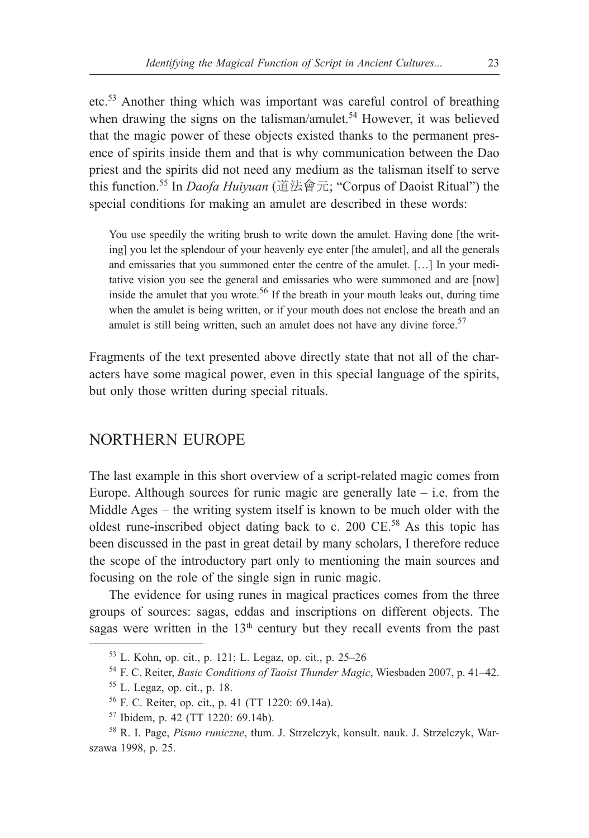etc.<sup>53</sup> Another thing which was important was careful control of breathing when drawing the signs on the talisman/amulet.<sup>54</sup> However, it was believed that the magic power of these objects existed thanks to the permanent presence of spirits inside them and that is why communication between the Dao priest and the spirits did not need any medium as the talisman itself to serve this function.55 In *Daofa Huiyuan* (道法會元; "Corpus of Daoist Ritual") the special conditions for making an amulet are described in these words:

You use speedily the writing brush to write down the amulet. Having done [the writing] you let the splendour of your heavenly eye enter [the amulet], and all the generals and emissaries that you summoned enter the centre of the amulet. […] In your meditative vision you see the general and emissaries who were summoned and are [now] inside the amulet that you wrote.<sup>56</sup> If the breath in your mouth leaks out, during time when the amulet is being written, or if your mouth does not enclose the breath and an amulet is still being written, such an amulet does not have any divine force.<sup>57</sup>

Fragments of the text presented above directly state that not all of the characters have some magical power, even in this special language of the spirits, but only those written during special rituals.

### NORTHERN EUROPE

The last example in this short overview of a script-related magic comes from Europe. Although sources for runic magic are generally late  $-$  i.e. from the Middle Ages – the writing system itself is known to be much older with the oldest rune-inscribed object dating back to c. 200 CE.<sup>58</sup> As this topic has been discussed in the past in great detail by many scholars, I therefore reduce the scope of the introductory part only to mentioning the main sources and focusing on the role of the single sign in runic magic.

The evidence for using runes in magical practices comes from the three groups of sources: sagas, eddas and inscriptions on different objects. The sagas were written in the  $13<sup>th</sup>$  century but they recall events from the past

 $53$  L. Kohn, op. cit., p. 121; L. Legaz, op. cit., p. 25–26

<sup>&</sup>lt;sup>54</sup> F. C. Reiter, *Basic Conditions of Taoist Thunder Magic*, Wiesbaden 2007, p. 41–42.

 $55$  L. Legaz, op. cit., p. 18.

<sup>56</sup> F. C. Reiter, op. cit., p. 41 (TT 1220: 69.14a). 57 Ibidem, p. 42 (TT 1220: 69.14b).

<sup>58</sup> R. I. Page, *Pismo runiczne*, tłum. J. Strzelczyk, konsult. nauk. J. Strzelczyk, Warszawa 1998, p. 25.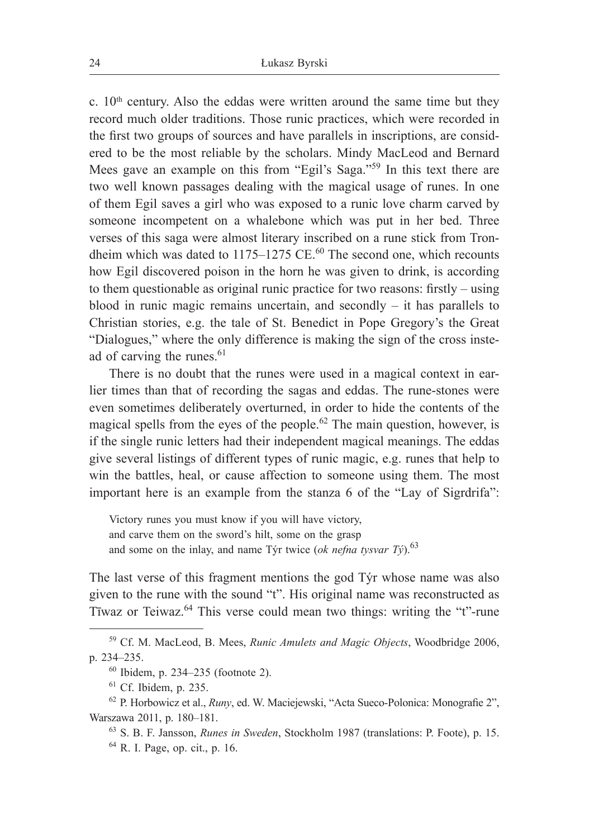c.  $10<sup>th</sup>$  century. Also the eddas were written around the same time but they record much older traditions. Those runic practices, which were recorded in the first two groups of sources and have parallels in inscriptions, are considered to be the most reliable by the scholars. Mindy MacLeod and Bernard Mees gave an example on this from "Egil's Saga."<sup>59</sup> In this text there are two well known passages dealing with the magical usage of runes. In one of them Egil saves a girl who was exposed to a runic love charm carved by someone incompetent on a whalebone which was put in her bed. Three verses of this saga were almost literary inscribed on a rune stick from Trondheim which was dated to 1175–1275 CE.<sup>60</sup> The second one, which recounts how Egil discovered poison in the horn he was given to drink, is according to them questionable as original runic practice for two reasons: firstly – using blood in runic magic remains uncertain, and secondly  $-$  it has parallels to Christian stories, e.g. the tale of St. Benedict in Pope Gregory's the Great "Dialogues," where the only difference is making the sign of the cross instead of carving the runes.<sup>61</sup>

There is no doubt that the runes were used in a magical context in earlier times than that of recording the sagas and eddas. The rune-stones were even sometimes deliberately overturned, in order to hide the contents of the magical spells from the eyes of the people.<sup>62</sup> The main question, however, is if the single runic letters had their independent magical meanings. The eddas give several listings of different types of runic magic, e.g. runes that help to win the battles, heal, or cause affection to someone using them. The most important here is an example from the stanza 6 of the "Lay of Sigrdrifa":

Victory runes you must know if you will have victory, and carve them on the sword's hilt, some on the grasp and some on the inlay, and name Týr twice (*ok nefna tysvar Tý*).<sup>63</sup>

The last verse of this fragment mentions the god Týr whose name was also given to the rune with the sound "t". His original name was reconstructed as Tīwaz or Teiwaz.<sup>64</sup> This verse could mean two things: writing the "t"-rune

<sup>59</sup> Cf. M. MacLeod, B. Mees, *Runic Amulets and Magic Objects*, Woodbridge 2006, p. 234‒235.

 $60$  Ibidem, p. 234–235 (footnote 2).

<sup>61</sup> Cf. Ibidem, p. 235.

<sup>62</sup> P. Horbowicz et al., *Runy*, ed. W. Maciejewski, "Acta Sueco-Polonica: Monografie 2", Warszawa 2011, p. 180-181.

<sup>63</sup> S. B. F. Jansson, *Runes in Sweden*, Stockholm 1987 (translations: P. Foote), p. 15.

<sup>64</sup> R. I. Page, op. cit., p. 16.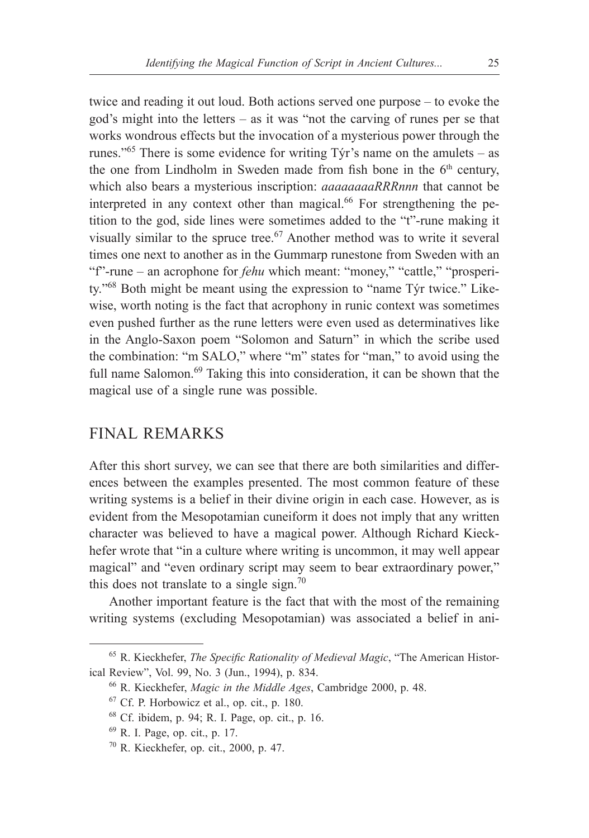twice and reading it out loud. Both actions served one purpose – to evoke the god's might into the letters  $-$  as it was "not the carving of runes per se that works wondrous effects but the invocation of a mysterious power through the runes."<sup>65</sup> There is some evidence for writing  $\overline{T}$   $\gamma$  is name on the amulets – as the one from Lindholm in Sweden made from fish bone in the  $6<sup>th</sup>$  century, which also bears a mysterious inscription: *aaaaaaaaRRRnnn* that cannot be interpreted in any context other than magical. $^{66}$  For strengthening the petition to the god, side lines were sometimes added to the "t"-rune making it visually similar to the spruce tree.<sup>67</sup> Another method was to write it several times one next to another as in the Gummarp runestone from Sweden with an "f"-rune – an acrophone for *fehu* which meant: "money," "cattle," "prosperity."68 Both might be meant using the expression to "name Týr twice." Likewise, worth noting is the fact that acrophony in runic context was sometimes even pushed further as the rune letters were even used as determinatives like in the Anglo-Saxon poem "Solomon and Saturn" in which the scribe used the combination: "m SALO," where "m" states for "man," to avoid using the full name Salomon.<sup>69</sup> Taking this into consideration, it can be shown that the magical use of a single rune was possible.

## FINAL REMARKS

After this short survey, we can see that there are both similarities and differences between the examples presented. The most common feature of these writing systems is a belief in their divine origin in each case. However, as is evident from the Mesopotamian cuneiform it does not imply that any written character was believed to have a magical power. Although Richard Kieckhefer wrote that "in a culture where writing is uncommon, it may well appear magical" and "even ordinary script may seem to bear extraordinary power," this does not translate to a single sign.<sup>70</sup>

Another important feature is the fact that with the most of the remaining writing systems (excluding Mesopotamian) was associated a belief in ani-

<sup>65</sup> R. Kieckhefer, *The Specific Rationality of Medieval Magic*, "The American Historical Review", Vol. 99, No. 3 (Jun., 1994), p. 834.

<sup>66</sup> R. Kieckhefer, *Magic in the Middle Ages*, Cambridge 2000, p. 48.

 $67$  Cf. P. Horbowicz et al., op. cit., p. 180.

<sup>68</sup> Cf. ibidem, p. 94; R. I. Page, op. cit., p. 16.

<sup>69</sup> R. I. Page, op. cit., p. 17.

<sup>70</sup> R. Kieckhefer, op. cit., 2000, p. 47.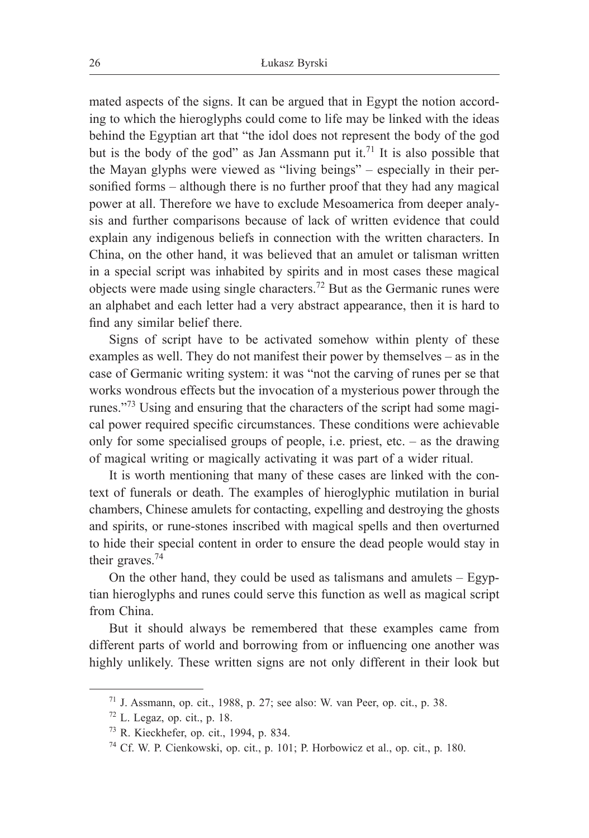mated aspects of the signs. It can be argued that in Egypt the notion according to which the hieroglyphs could come to life may be linked with the ideas behind the Egyptian art that "the idol does not represent the body of the god but is the body of the god" as Jan Assmann put it.<sup>71</sup> It is also possible that the Mayan glyphs were viewed as "living beings" ‒ especially in their personified forms – although there is no further proof that they had any magical power at all. Therefore we have to exclude Mesoamerica from deeper analysis and further comparisons because of lack of written evidence that could explain any indigenous beliefs in connection with the written characters. In China, on the other hand, it was believed that an amulet or talisman written in a special script was inhabited by spirits and in most cases these magical objects were made using single characters.72 But as the Germanic runes were an alphabet and each letter had a very abstract appearance, then it is hard to find any similar belief there.

Signs of script have to be activated somehow within plenty of these examples as well. They do not manifest their power by themselves  $-$  as in the case of Germanic writing system: it was "not the carving of runes per se that works wondrous effects but the invocation of a mysterious power through the runes."73 Using and ensuring that the characters of the script had some magical power required specific circumstances. These conditions were achievable only for some specialised groups of people, i.e. priest, etc.  $-$  as the drawing of magical writing or magically activating it was part of a wider ritual.

It is worth mentioning that many of these cases are linked with the context of funerals or death. The examples of hieroglyphic mutilation in burial chambers, Chinese amulets for contacting, expelling and destroying the ghosts and spirits, or rune-stones inscribed with magical spells and then overturned to hide their special content in order to ensure the dead people would stay in their graves.<sup>74</sup>

On the other hand, they could be used as talismans and amulets – Egyptian hieroglyphs and runes could serve this function as well as magical script from China.

But it should always be remembered that these examples came from different parts of world and borrowing from or influencing one another was highly unlikely. These written signs are not only different in their look but

 $71$  J. Assmann, op. cit., 1988, p. 27; see also: W. van Peer, op. cit., p. 38.

 $72$  L. Legaz, op. cit., p. 18.

<sup>73</sup> R. Kieckhefer, op. cit., 1994, p. 834.

<sup>74</sup> Cf. W. P. Cienkowski, op. cit., p. 101; P. Horbowicz et al., op. cit., p. 180.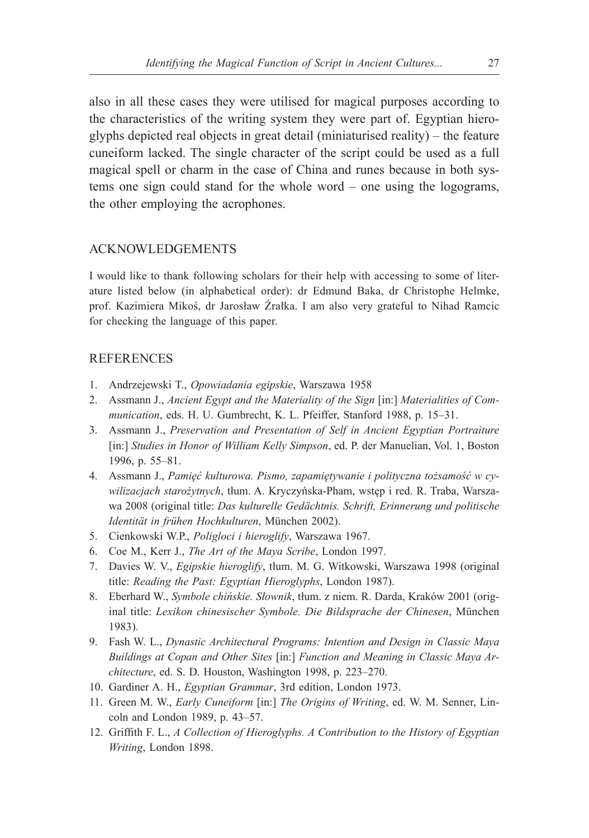also in all these cases they were utilised for magical purposes according to the characteristics of the writing system they were part of. Egyptian hieroglyphs depicted real objects in great detail (miniaturised reality) – the feature cuneiform lacked. The single character of the script could be used as a full magical spell or charm in the case of China and runes because in both systems one sign could stand for the whole word – one using the logograms, the other employing the acrophones.

### ACKNOWLEDGEMENTS

I would like to thank following scholars for their help with accessing to some of literature listed below (in alphabetical order): dr Edmund Baka, dr Christophe Helmke, prof. Kazimiera Mikoś, dr Jarosław Źrałka. I am also very grateful to Nihad Ramcic for checking the language of this paper.

### **REFERENCES**

- 1. Andrzejewski T., *Opowiadania egipskie*, Warszawa 1958
- 2. Assmann J., *Ancient Egypt and the Materiality of the Sign* [in:] *Materialities of Communication*, eds. H. U. Gumbrecht, K. L. Pfeiffer, Stanford 1988, p. 15–31.
- 3. Assmann J., *Preservation and Presentation of Self in Ancient Egyptian Portraiture* [in:] *Studies in Honor of William Kelly Simpson*, ed. P. der Manuelian, Vol. 1, Boston 1996, p. 55–81.
- 4. Assmann J., *Pamięć kulturowa. Pismo, zapamiętywanie i polityczna tożsamość w cywilizacjach starożytnych*, tłum. A. Kryczyńska-Pham, wstęp i red. R. Traba, Warszawa 2008 (original title: *Das kulturelle Gedächtnis. Schrift, Erinnerung und politische Identität in frühen Hochkulturen*, München 2002).
- 5. Cienkowski W.P., *Poligloci i hieroglify*, Warszawa 1967.
- 6. Coe M., Kerr J., *The Art of the Maya Scribe*, London 1997.
- 7. Davies W. V., *Egipskie hieroglify*, tłum. M. G. Witkowski, Warszawa 1998 (original title: *Reading the Past: Egyptian Hieroglyphs*, London 1987).
- 8. Eberhard W., *Symbole chińskie. Słownik*, tłum. z niem. R. Darda, Kraków 2001 (original title: *Lexikon chinesischer Symbole. Die Bildsprache der Chinesen*, München 1983).
- 9. Fash W. L., *Dynastic Architectural Programs: Intention and Design in Classic Maya Buildings at Copan and Other Sites* [in:] *Function and Meaning in Classic Maya Architecture*, ed. S. D. Houston, Washington 1998, p. 223–270.
- 10. Gardiner A. H., *Egyptian Grammar*, 3rd edition, London 1973.
- 11. Green M. W., *Early Cuneiform* [in:] *The Origins of Writing*, ed. W. M. Senner, Lincoln and London 1989, p. 43–57.
- 12. Griffith F. L., *A Collection of Hieroglyphs. A Contribution to the History of Egyptian Writing*, London 1898.